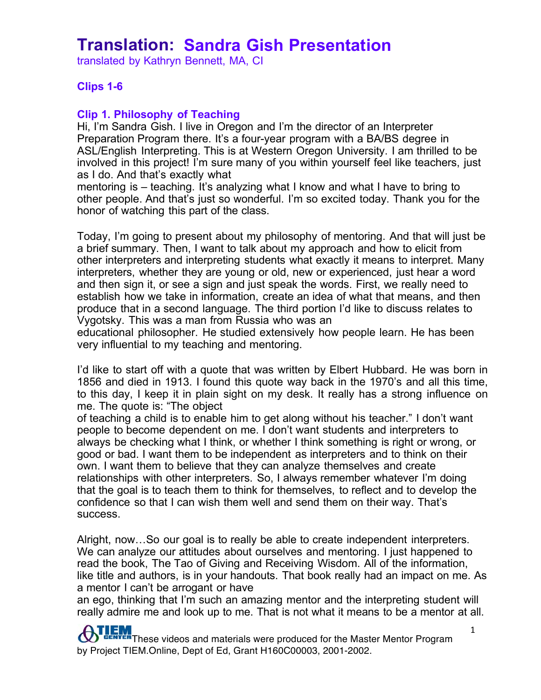translated by Kathryn Bennett, MA, CI

#### **Clips 1-6**

#### **Clip 1. Philosophy of Teaching**

Hi, I'm Sandra Gish. I live in Oregon and I'm the director of an Interpreter Preparation Program there. It's a four-year program with a BA/BS degree in ASL/English Interpreting. This is at Western Oregon University. I am thrilled to be involved in this project! I'm sure many of you within yourself feel like teachers, just as I do. And that's exactly what

mentoring is – teaching. It's analyzing what I know and what I have to bring to other people. And that's just so wonderful. I'm so excited today. Thank you for the honor of watching this part of the class.

Today, I'm going to present about my philosophy of mentoring. And that will just be a brief summary. Then, I want to talk about my approach and how to elicit from other interpreters and interpreting students what exactly it means to interpret. Many interpreters, whether they are young or old, new or experienced, just hear a word and then sign it, or see a sign and just speak the words. First, we really need to establish how we take in information, create an idea of what that means, and then produce that in a second language. The third portion I'd like to discuss relates to Vygotsky. This was a man from Russia who was an

educational philosopher. He studied extensively how people learn. He has been very influential to my teaching and mentoring.

I'd like to start off with a quote that was written by Elbert Hubbard. He was born in 1856 and died in 1913. I found this quote way back in the 1970's and all this time, to this day, I keep it in plain sight on my desk. It really has a strong influence on me. The quote is: "The object

of teaching a child is to enable him to get along without his teacher." I don't want people to become dependent on me. I don't want students and interpreters to always be checking what I think, or whether I think something is right or wrong, or good or bad. I want them to be independent as interpreters and to think on their own. I want them to believe that they can analyze themselves and create relationships with other interpreters. So, I always remember whatever I'm doing that the goal is to teach them to think for themselves, to reflect and to develop the confidence so that I can wish them well and send them on their way. That's success.

Alright, now…So our goal is to really be able to create independent interpreters. We can analyze our attitudes about ourselves and mentoring. I just happened to read the book, The Tao of Giving and Receiving Wisdom. All of the information, like title and authors, is in your handouts. That book really had an impact on me. As a mentor I can't be arrogant or have

an ego, thinking that I'm such an amazing mentor and the interpreting student will really admire me and look up to me. That is not what it means to be a mentor at all.

THEM These videos and materials were produced for the Master Mentor Program ₩ by Project TIEM.Online, Dept of Ed, Grant H160C00003, 2001-2002.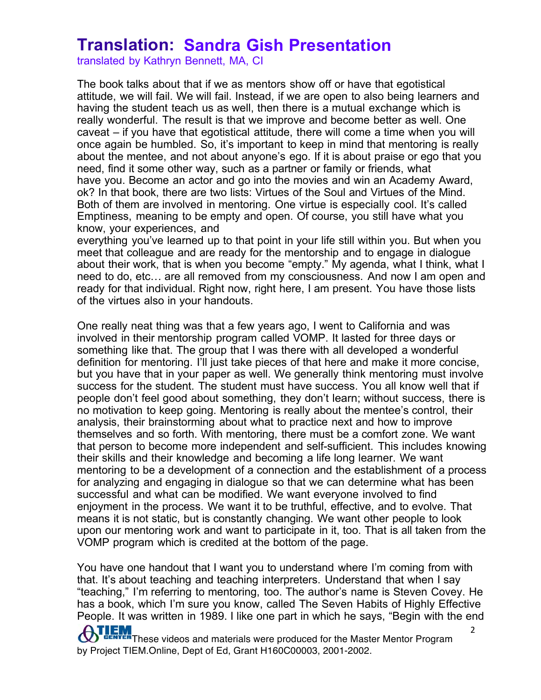translated by Kathryn Bennett, MA, CI

The book talks about that if we as mentors show off or have that egotistical attitude, we will fail. We will fail. Instead, if we are open to also being learners and having the student teach us as well, then there is a mutual exchange which is really wonderful. The result is that we improve and become better as well. One caveat – if you have that egotistical attitude, there will come a time when you will once again be humbled. So, it's important to keep in mind that mentoring is really about the mentee, and not about anyone's ego. If it is about praise or ego that you need, find it some other way, such as a partner or family or friends, what have you. Become an actor and go into the movies and win an Academy Award, ok? In that book, there are two lists: Virtues of the Soul and Virtues of the Mind. Both of them are involved in mentoring. One virtue is especially cool. It's called Emptiness, meaning to be empty and open. Of course, you still have what you know, your experiences, and

everything you've learned up to that point in your life still within you. But when you meet that colleague and are ready for the mentorship and to engage in dialogue about their work, that is when you become "empty." My agenda, what I think, what I need to do, etc… are all removed from my consciousness. And now I am open and ready for that individual. Right now, right here, I am present. You have those lists of the virtues also in your handouts.

One really neat thing was that a few years ago, I went to California and was involved in their mentorship program called VOMP. It lasted for three days or something like that. The group that I was there with all developed a wonderful definition for mentoring. I'll just take pieces of that here and make it more concise, but you have that in your paper as well. We generally think mentoring must involve success for the student. The student must have success. You all know well that if people don't feel good about something, they don't learn; without success, there is no motivation to keep going. Mentoring is really about the mentee's control, their analysis, their brainstorming about what to practice next and how to improve themselves and so forth. With mentoring, there must be a comfort zone. We want that person to become more independent and self-sufficient. This includes knowing their skills and their knowledge and becoming a life long learner. We want mentoring to be a development of a connection and the establishment of a process for analyzing and engaging in dialogue so that we can determine what has been successful and what can be modified. We want everyone involved to find enjoyment in the process. We want it to be truthful, effective, and to evolve. That means it is not static, but is constantly changing. We want other people to look upon our mentoring work and want to participate in it, too. That is all taken from the VOMP program which is credited at the bottom of the page.

You have one handout that I want you to understand where I'm coming from with that. It's about teaching and teaching interpreters. Understand that when I say "teaching," I'm referring to mentoring, too. The author's name is Steven Covey. He has a book, which I'm sure you know, called The Seven Habits of Highly Effective People. It was written in 1989. I like one part in which he says, "Begin with the end

**ATLEM** These videos and materials were produced for the Master Mentor Program by Project TIEM.Online, Dept of Ed, Grant H160C00003, 2001-2002.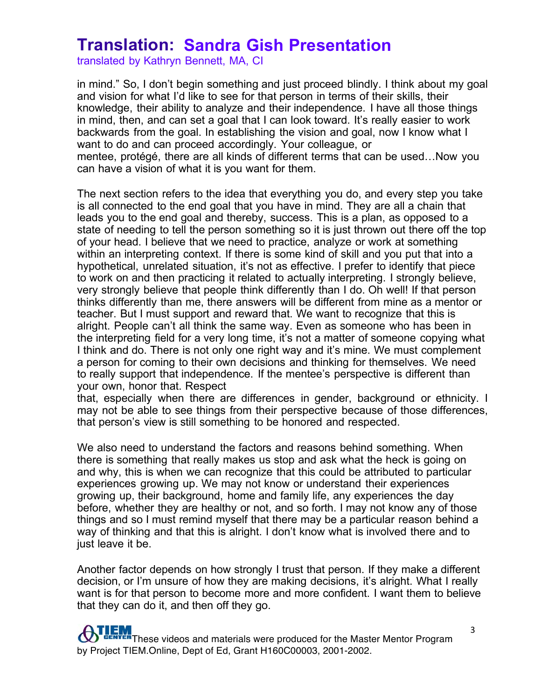translated by Kathryn Bennett, MA, CI

in mind." So, I don't begin something and just proceed blindly. I think about my goal and vision for what I'd like to see for that person in terms of their skills, their knowledge, their ability to analyze and their independence. I have all those things in mind, then, and can set a goal that I can look toward. It's really easier to work backwards from the goal. In establishing the vision and goal, now I know what I want to do and can proceed accordingly. Your colleague, or mentee, protégé, there are all kinds of different terms that can be used…Now you can have a vision of what it is you want for them.

The next section refers to the idea that everything you do, and every step you take is all connected to the end goal that you have in mind. They are all a chain that leads you to the end goal and thereby, success. This is a plan, as opposed to a state of needing to tell the person something so it is just thrown out there off the top of your head. I believe that we need to practice, analyze or work at something within an interpreting context. If there is some kind of skill and you put that into a hypothetical, unrelated situation, it's not as effective. I prefer to identify that piece to work on and then practicing it related to actually interpreting. I strongly believe, very strongly believe that people think differently than I do. Oh well! If that person thinks differently than me, there answers will be different from mine as a mentor or teacher. But I must support and reward that. We want to recognize that this is alright. People can't all think the same way. Even as someone who has been in the interpreting field for a very long time, it's not a matter of someone copying what I think and do. There is not only one right way and it's mine. We must complement a person for coming to their own decisions and thinking for themselves. We need to really support that independence. If the mentee's perspective is different than your own, honor that. Respect

that, especially when there are differences in gender, background or ethnicity. I may not be able to see things from their perspective because of those differences, that person's view is still something to be honored and respected.

We also need to understand the factors and reasons behind something. When there is something that really makes us stop and ask what the heck is going on and why, this is when we can recognize that this could be attributed to particular experiences growing up. We may not know or understand their experiences growing up, their background, home and family life, any experiences the day before, whether they are healthy or not, and so forth. I may not know any of those things and so I must remind myself that there may be a particular reason behind a way of thinking and that this is alright. I don't know what is involved there and to just leave it be.

Another factor depends on how strongly I trust that person. If they make a different decision, or I'm unsure of how they are making decisions, it's alright. What I really want is for that person to become more and more confident. I want them to believe that they can do it, and then off they go.

## **TEM**<br>ENTER These videos and materials were produced for the Master Mentor Program by Project TIEM.Online, Dept of Ed, Grant H160C00003, 2001-2002.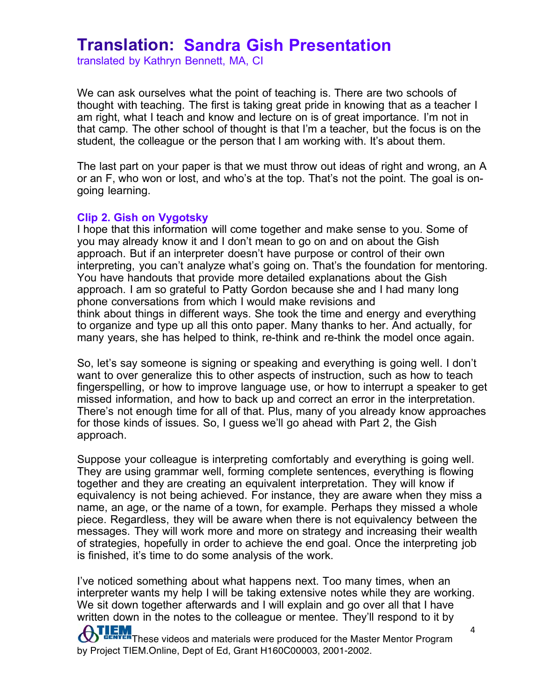translated by Kathryn Bennett, MA, CI

We can ask ourselves what the point of teaching is. There are two schools of thought with teaching. The first is taking great pride in knowing that as a teacher I am right, what I teach and know and lecture on is of great importance. I'm not in that camp. The other school of thought is that I'm a teacher, but the focus is on the student, the colleague or the person that I am working with. It's about them.

The last part on your paper is that we must throw out ideas of right and wrong, an A or an F, who won or lost, and who's at the top. That's not the point. The goal is ongoing learning.

#### **Clip 2. Gish on Vygotsky**

I hope that this information will come together and make sense to you. Some of you may already know it and I don't mean to go on and on about the Gish approach. But if an interpreter doesn't have purpose or control of their own interpreting, you can't analyze what's going on. That's the foundation for mentoring. You have handouts that provide more detailed explanations about the Gish approach. I am so grateful to Patty Gordon because she and I had many long phone conversations from which I would make revisions and think about things in different ways. She took the time and energy and everything to organize and type up all this onto paper. Many thanks to her. And actually, for many years, she has helped to think, re-think and re-think the model once again.

So, let's say someone is signing or speaking and everything is going well. I don't want to over generalize this to other aspects of instruction, such as how to teach fingerspelling, or how to improve language use, or how to interrupt a speaker to get missed information, and how to back up and correct an error in the interpretation. There's not enough time for all of that. Plus, many of you already know approaches for those kinds of issues. So, I guess we'll go ahead with Part 2, the Gish approach.

Suppose your colleague is interpreting comfortably and everything is going well. They are using grammar well, forming complete sentences, everything is flowing together and they are creating an equivalent interpretation. They will know if equivalency is not being achieved. For instance, they are aware when they miss a name, an age, or the name of a town, for example. Perhaps they missed a whole piece. Regardless, they will be aware when there is not equivalency between the messages. They will work more and more on strategy and increasing their wealth of strategies, hopefully in order to achieve the end goal. Once the interpreting job is finished, it's time to do some analysis of the work.

**ATLEM**<br>These videos and materials were produced for the Master Mentor Program 4 I've noticed something about what happens next. Too many times, when an interpreter wants my help I will be taking extensive notes while they are working. We sit down together afterwards and I will explain and go over all that I have written down in the notes to the colleague or mentee. They'll respond to it by

by Project TIEM.Online, Dept of Ed, Grant H160C00003, 2001-2002.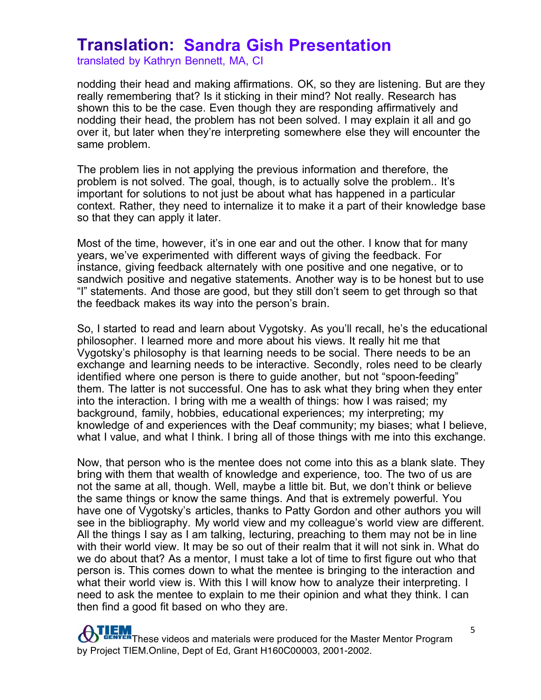translated by Kathryn Bennett, MA, CI

nodding their head and making affirmations. OK, so they are listening. But are they really remembering that? Is it sticking in their mind? Not really. Research has shown this to be the case. Even though they are responding affirmatively and nodding their head, the problem has not been solved. I may explain it all and go over it, but later when they're interpreting somewhere else they will encounter the same problem.

The problem lies in not applying the previous information and therefore, the problem is not solved. The goal, though, is to actually solve the problem.. It's important for solutions to not just be about what has happened in a particular context. Rather, they need to internalize it to make it a part of their knowledge base so that they can apply it later.

Most of the time, however, it's in one ear and out the other. I know that for many years, we've experimented with different ways of giving the feedback. For instance, giving feedback alternately with one positive and one negative, or to sandwich positive and negative statements. Another way is to be honest but to use "I" statements. And those are good, but they still don't seem to get through so that the feedback makes its way into the person's brain.

So, I started to read and learn about Vygotsky. As you'll recall, he's the educational philosopher. I learned more and more about his views. It really hit me that Vygotsky's philosophy is that learning needs to be social. There needs to be an exchange and learning needs to be interactive. Secondly, roles need to be clearly identified where one person is there to guide another, but not "spoon-feeding" them. The latter is not successful. One has to ask what they bring when they enter into the interaction. I bring with me a wealth of things: how I was raised; my background, family, hobbies, educational experiences; my interpreting; my knowledge of and experiences with the Deaf community; my biases; what I believe, what I value, and what I think. I bring all of those things with me into this exchange.

Now, that person who is the mentee does not come into this as a blank slate. They bring with them that wealth of knowledge and experience, too. The two of us are not the same at all, though. Well, maybe a little bit. But, we don't think or believe the same things or know the same things. And that is extremely powerful. You have one of Vygotsky's articles, thanks to Patty Gordon and other authors you will see in the bibliography. My world view and my colleague's world view are different. All the things I say as I am talking, lecturing, preaching to them may not be in line with their world view. It may be so out of their realm that it will not sink in. What do we do about that? As a mentor, I must take a lot of time to first figure out who that person is. This comes down to what the mentee is bringing to the interaction and what their world view is. With this I will know how to analyze their interpreting. I need to ask the mentee to explain to me their opinion and what they think. I can then find a good fit based on who they are.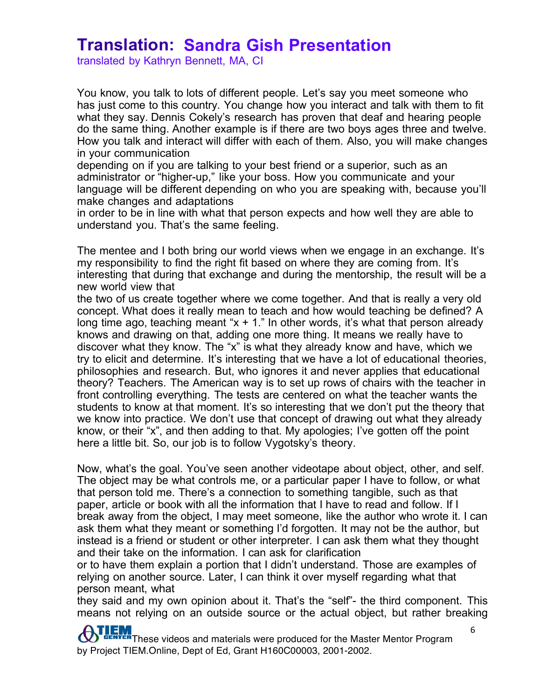translated by Kathryn Bennett, MA, CI

You know, you talk to lots of different people. Let's say you meet someone who has just come to this country. You change how you interact and talk with them to fit what they say. Dennis Cokely's research has proven that deaf and hearing people do the same thing. Another example is if there are two boys ages three and twelve. How you talk and interact will differ with each of them. Also, you will make changes in your communication

depending on if you are talking to your best friend or a superior, such as an administrator or "higher-up," like your boss. How you communicate and your language will be different depending on who you are speaking with, because you'll make changes and adaptations

in order to be in line with what that person expects and how well they are able to understand you. That's the same feeling.

The mentee and I both bring our world views when we engage in an exchange. It's my responsibility to find the right fit based on where they are coming from. It's interesting that during that exchange and during the mentorship, the result will be a new world view that

the two of us create together where we come together. And that is really a very old concept. What does it really mean to teach and how would teaching be defined? A long time ago, teaching meant " $x + 1$ ." In other words, it's what that person already knows and drawing on that, adding one more thing. It means we really have to discover what they know. The "x" is what they already know and have, which we try to elicit and determine. It's interesting that we have a lot of educational theories, philosophies and research. But, who ignores it and never applies that educational theory? Teachers. The American way is to set up rows of chairs with the teacher in front controlling everything. The tests are centered on what the teacher wants the students to know at that moment. It's so interesting that we don't put the theory that we know into practice. We don't use that concept of drawing out what they already know, or their "x", and then adding to that. My apologies; I've gotten off the point here a little bit. So, our job is to follow Vygotsky's theory.

Now, what's the goal. You've seen another videotape about object, other, and self. The object may be what controls me, or a particular paper I have to follow, or what that person told me. There's a connection to something tangible, such as that paper, article or book with all the information that I have to read and follow. If I break away from the object, I may meet someone, like the author who wrote it. I can ask them what they meant or something I'd forgotten. It may not be the author, but instead is a friend or student or other interpreter. I can ask them what they thought and their take on the information. I can ask for clarification

or to have them explain a portion that I didn't understand. Those are examples of relying on another source. Later, I can think it over myself regarding what that person meant, what

they said and my own opinion about it. That's the "self"- the third component. This means not relying on an outside source or the actual object, but rather breaking

THEM These videos and materials were produced for the Master Mentor Program by Project TIEM.Online, Dept of Ed, Grant H160C00003, 2001-2002.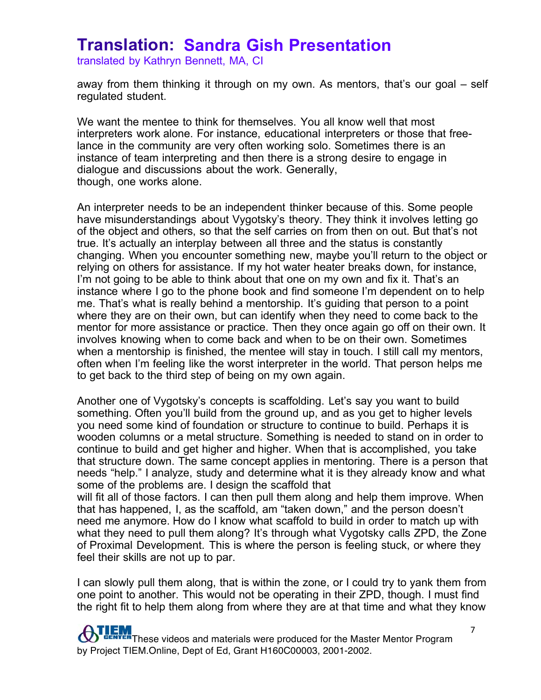translated by Kathryn Bennett, MA, CI

feel their skills are not up to par.

away from them thinking it through on my own. As mentors, that's our goal – self regulated student.

We want the mentee to think for themselves. You all know well that most interpreters work alone. For instance, educational interpreters or those that freelance in the community are very often working solo. Sometimes there is an instance of team interpreting and then there is a strong desire to engage in dialogue and discussions about the work. Generally, though, one works alone.

An interpreter needs to be an independent thinker because of this. Some people have misunderstandings about Vygotsky's theory. They think it involves letting go of the object and others, so that the self carries on from then on out. But that's not true. It's actually an interplay between all three and the status is constantly changing. When you encounter something new, maybe you'll return to the object or relying on others for assistance. If my hot water heater breaks down, for instance, I'm not going to be able to think about that one on my own and fix it. That's an instance where I go to the phone book and find someone I'm dependent on to help me. That's what is really behind a mentorship. It's guiding that person to a point where they are on their own, but can identify when they need to come back to the mentor for more assistance or practice. Then they once again go off on their own. It involves knowing when to come back and when to be on their own. Sometimes when a mentorship is finished, the mentee will stay in touch. I still call my mentors, often when I'm feeling like the worst interpreter in the world. That person helps me to get back to the third step of being on my own again.

Another one of Vygotsky's concepts is scaffolding. Let's say you want to build something. Often you'll build from the ground up, and as you get to higher levels you need some kind of foundation or structure to continue to build. Perhaps it is wooden columns or a metal structure. Something is needed to stand on in order to continue to build and get higher and higher. When that is accomplished, you take that structure down. The same concept applies in mentoring. There is a person that needs "help." I analyze, study and determine what it is they already know and what some of the problems are. I design the scaffold that will fit all of those factors. I can then pull them along and help them improve. When that has happened, I, as the scaffold, am "taken down," and the person doesn't need me anymore. How do I know what scaffold to build in order to match up with what they need to pull them along? It's through what Vygotsky calls ZPD, the Zone of Proximal Development. This is where the person is feeling stuck, or where they

I can slowly pull them along, that is within the zone, or I could try to yank them from one point to another. This would not be operating in their ZPD, though. I must find the right fit to help them along from where they are at that time and what they know

**These videos and materials were produced for the Master Mentor Program** by Project TIEM.Online, Dept of Ed, Grant H160C00003, 2001-2002.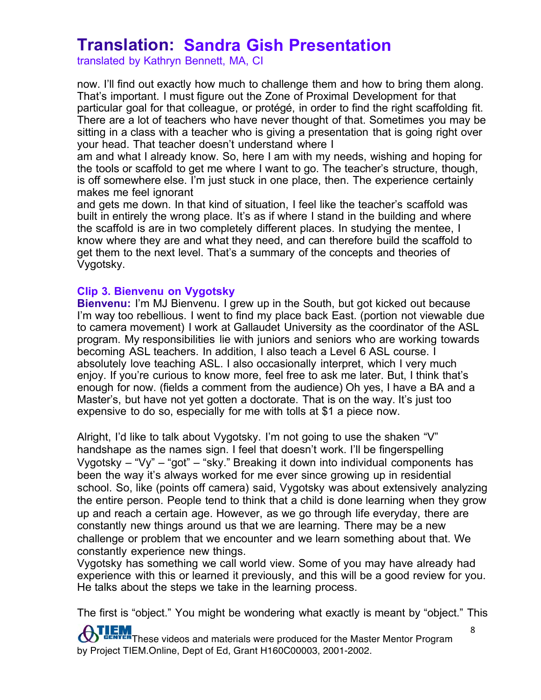translated by Kathryn Bennett, MA, CI

now. I'll find out exactly how much to challenge them and how to bring them along. That's important. I must figure out the Zone of Proximal Development for that particular goal for that colleague, or protégé, in order to find the right scaffolding fit. There are a lot of teachers who have never thought of that. Sometimes you may be sitting in a class with a teacher who is giving a presentation that is going right over your head. That teacher doesn't understand where I

am and what I already know. So, here I am with my needs, wishing and hoping for the tools or scaffold to get me where I want to go. The teacher's structure, though, is off somewhere else. I'm just stuck in one place, then. The experience certainly makes me feel ignorant

and gets me down. In that kind of situation, I feel like the teacher's scaffold was built in entirely the wrong place. It's as if where I stand in the building and where the scaffold is are in two completely different places. In studying the mentee, I know where they are and what they need, and can therefore build the scaffold to get them to the next level. That's a summary of the concepts and theories of Vygotsky.

#### **Clip 3. Bienvenu on Vygotsky**

**Bienvenu:** I'm MJ Bienvenu. I grew up in the South, but got kicked out because I'm way too rebellious. I went to find my place back East. (portion not viewable due to camera movement) I work at Gallaudet University as the coordinator of the ASL program. My responsibilities lie with juniors and seniors who are working towards becoming ASL teachers. In addition, I also teach a Level 6 ASL course. I absolutely love teaching ASL. I also occasionally interpret, which I very much enjoy. If you're curious to know more, feel free to ask me later. But, I think that's enough for now. (fields a comment from the audience) Oh yes, I have a BA and a Master's, but have not yet gotten a doctorate. That is on the way. It's just too expensive to do so, especially for me with tolls at \$1 a piece now.

Alright, I'd like to talk about Vygotsky. I'm not going to use the shaken "V" handshape as the names sign. I feel that doesn't work. I'll be fingerspelling Vygotsky – "Vy" – "got" – "sky." Breaking it down into individual components has been the way it's always worked for me ever since growing up in residential school. So, like (points off camera) said, Vygotsky was about extensively analyzing the entire person. People tend to think that a child is done learning when they grow up and reach a certain age. However, as we go through life everyday, there are constantly new things around us that we are learning. There may be a new challenge or problem that we encounter and we learn something about that. We constantly experience new things.

Vygotsky has something we call world view. Some of you may have already had experience with this or learned it previously, and this will be a good review for you. He talks about the steps we take in the learning process.

The first is "object." You might be wondering what exactly is meant by "object." This

THET These videos and materials were produced for the Master Mentor Program  $\bm{\sigma}$ by Project TIEM.Online, Dept of Ed, Grant H160C00003, 2001-2002.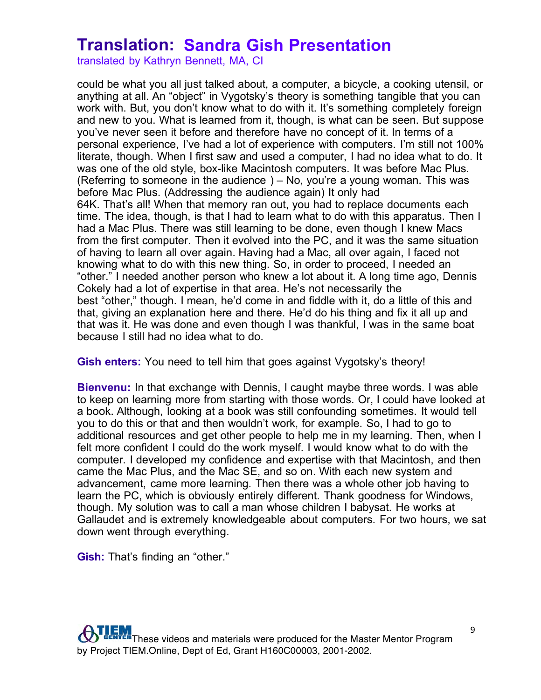translated by Kathryn Bennett, MA, CI

could be what you all just talked about, a computer, a bicycle, a cooking utensil, or anything at all. An "object" in Vygotsky's theory is something tangible that you can work with. But, you don't know what to do with it. It's something completely foreign and new to you. What is learned from it, though, is what can be seen. But suppose you've never seen it before and therefore have no concept of it. In terms of a personal experience, I've had a lot of experience with computers. I'm still not 100% literate, though. When I first saw and used a computer, I had no idea what to do. It was one of the old style, box-like Macintosh computers. It was before Mac Plus. (Referring to someone in the audience ) – No, you're a young woman. This was before Mac Plus. (Addressing the audience again) It only had 64K. That's all! When that memory ran out, you had to replace documents each time. The idea, though, is that I had to learn what to do with this apparatus. Then I had a Mac Plus. There was still learning to be done, even though I knew Macs from the first computer. Then it evolved into the PC, and it was the same situation of having to learn all over again. Having had a Mac, all over again, I faced not knowing what to do with this new thing. So, in order to proceed, I needed an "other." I needed another person who knew a lot about it. A long time ago, Dennis Cokely had a lot of expertise in that area. He's not necessarily the best "other," though. I mean, he'd come in and fiddle with it, do a little of this and that, giving an explanation here and there. He'd do his thing and fix it all up and that was it. He was done and even though I was thankful, I was in the same boat because I still had no idea what to do.

**Gish enters:** You need to tell him that goes against Vygotsky's theory!

**Bienvenu:** In that exchange with Dennis, I caught maybe three words. I was able to keep on learning more from starting with those words. Or, I could have looked at a book. Although, looking at a book was still confounding sometimes. It would tell you to do this or that and then wouldn't work, for example. So, I had to go to additional resources and get other people to help me in my learning. Then, when I felt more confident I could do the work myself. I would know what to do with the computer. I developed my confidence and expertise with that Macintosh, and then came the Mac Plus, and the Mac SE, and so on. With each new system and advancement, came more learning. Then there was a whole other job having to learn the PC, which is obviously entirely different. Thank goodness for Windows, though. My solution was to call a man whose children I babysat. He works at Gallaudet and is extremely knowledgeable about computers. For two hours, we sat down went through everything.

**Gish:** That's finding an "other."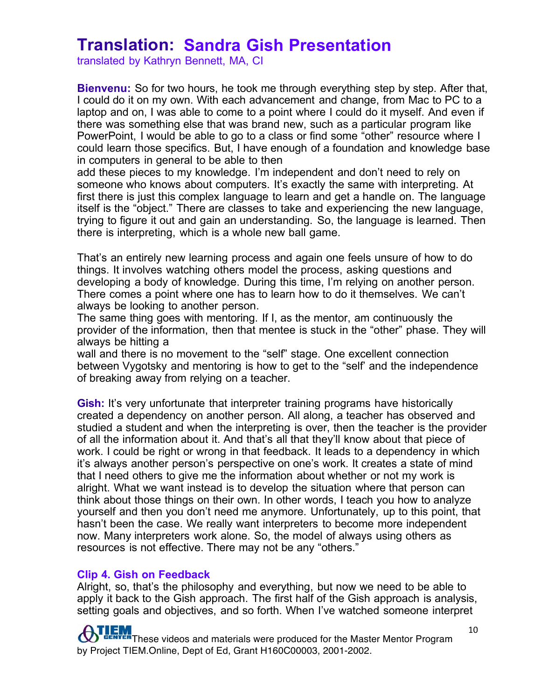translated by Kathryn Bennett, MA, CI

**Bienvenu:** So for two hours, he took me through everything step by step. After that, I could do it on my own. With each advancement and change, from Mac to PC to a laptop and on, I was able to come to a point where I could do it myself. And even if there was something else that was brand new, such as a particular program like PowerPoint, I would be able to go to a class or find some "other" resource where I could learn those specifics. But, I have enough of a foundation and knowledge base in computers in general to be able to then

add these pieces to my knowledge. I'm independent and don't need to rely on someone who knows about computers. It's exactly the same with interpreting. At first there is just this complex language to learn and get a handle on. The language itself is the "object." There are classes to take and experiencing the new language, trying to figure it out and gain an understanding. So, the language is learned. Then there is interpreting, which is a whole new ball game.

That's an entirely new learning process and again one feels unsure of how to do things. It involves watching others model the process, asking questions and developing a body of knowledge. During this time, I'm relying on another person. There comes a point where one has to learn how to do it themselves. We can't always be looking to another person.

The same thing goes with mentoring. If I, as the mentor, am continuously the provider of the information, then that mentee is stuck in the "other" phase. They will always be hitting a

wall and there is no movement to the "self" stage. One excellent connection between Vygotsky and mentoring is how to get to the "self' and the independence of breaking away from relying on a teacher.

**Gish:** It's very unfortunate that interpreter training programs have historically created a dependency on another person. All along, a teacher has observed and studied a student and when the interpreting is over, then the teacher is the provider of all the information about it. And that's all that they'll know about that piece of work. I could be right or wrong in that feedback. It leads to a dependency in which it's always another person's perspective on one's work. It creates a state of mind that I need others to give me the information about whether or not my work is alright. What we want instead is to develop the situation where that person can think about those things on their own. In other words, I teach you how to analyze yourself and then you don't need me anymore. Unfortunately, up to this point, that hasn't been the case. We really want interpreters to become more independent now. Many interpreters work alone. So, the model of always using others as resources is not effective. There may not be any "others."

#### **Clip 4. Gish on Feedback**

Alright, so, that's the philosophy and everything, but now we need to be able to apply it back to the Gish approach. The first half of the Gish approach is analysis, setting goals and objectives, and so forth. When I've watched someone interpret

**TEM**<br>ENTER These videos and materials were produced for the Master Mentor Program by Project TIEM.Online, Dept of Ed, Grant H160C00003, 2001-2002.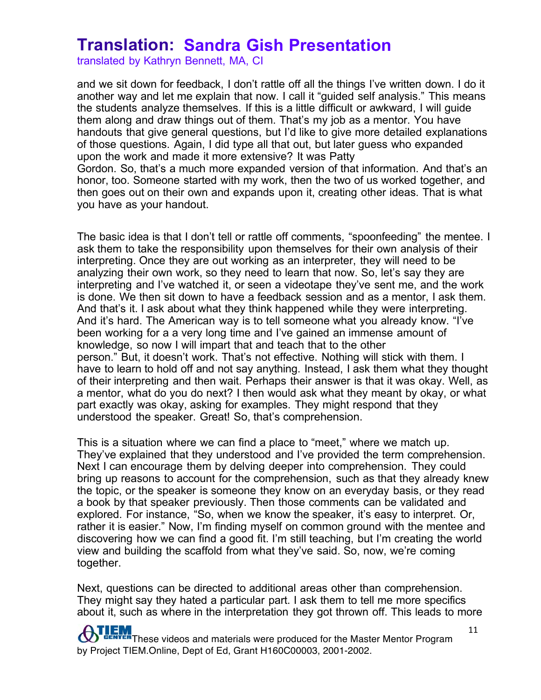translated by Kathryn Bennett, MA, CI

and we sit down for feedback, I don't rattle off all the things I've written down. I do it another way and let me explain that now. I call it "guided self analysis." This means the students analyze themselves. If this is a little difficult or awkward, I will guide them along and draw things out of them. That's my job as a mentor. You have handouts that give general questions, but I'd like to give more detailed explanations of those questions. Again, I did type all that out, but later guess who expanded upon the work and made it more extensive? It was Patty Gordon. So, that's a much more expanded version of that information. And that's an honor, too. Someone started with my work, then the two of us worked together, and then goes out on their own and expands upon it, creating other ideas. That is what you have as your handout.

The basic idea is that I don't tell or rattle off comments, "spoonfeeding" the mentee. I ask them to take the responsibility upon themselves for their own analysis of their interpreting. Once they are out working as an interpreter, they will need to be analyzing their own work, so they need to learn that now. So, let's say they are interpreting and I've watched it, or seen a videotape they've sent me, and the work is done. We then sit down to have a feedback session and as a mentor, I ask them. And that's it. I ask about what they think happened while they were interpreting. And it's hard. The American way is to tell someone what you already know. "I've been working for a a very long time and I've gained an immense amount of knowledge, so now I will impart that and teach that to the other person." But, it doesn't work. That's not effective. Nothing will stick with them. I have to learn to hold off and not say anything. Instead, I ask them what they thought of their interpreting and then wait. Perhaps their answer is that it was okay. Well, as a mentor, what do you do next? I then would ask what they meant by okay, or what part exactly was okay, asking for examples. They might respond that they understood the speaker. Great! So, that's comprehension.

This is a situation where we can find a place to "meet," where we match up. They've explained that they understood and I've provided the term comprehension. Next I can encourage them by delving deeper into comprehension. They could bring up reasons to account for the comprehension, such as that they already knew the topic, or the speaker is someone they know on an everyday basis, or they read a book by that speaker previously. Then those comments can be validated and explored. For instance, "So, when we know the speaker, it's easy to interpret. Or, rather it is easier." Now, I'm finding myself on common ground with the mentee and discovering how we can find a good fit. I'm still teaching, but I'm creating the world view and building the scaffold from what they've said. So, now, we're coming together.

Next, questions can be directed to additional areas other than comprehension. They might say they hated a particular part. I ask them to tell me more specifics about it, such as where in the interpretation they got thrown off. This leads to more

THEM These videos and materials were produced for the Master Mentor Program by Project TIEM.Online, Dept of Ed, Grant H160C00003, 2001-2002.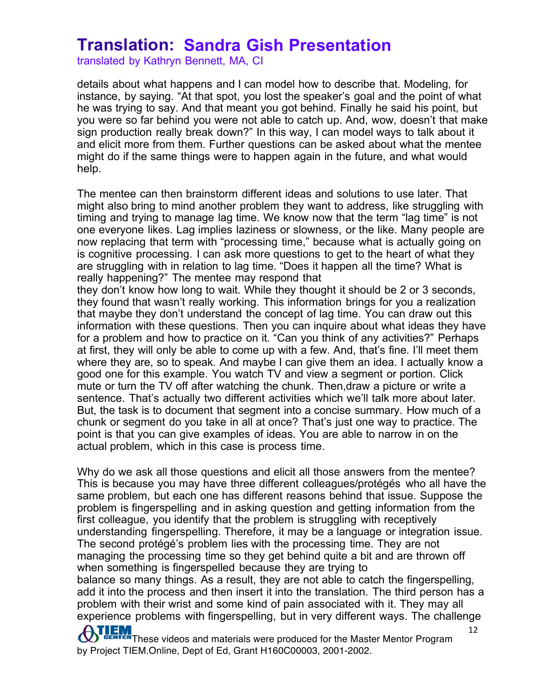translated by Kathryn Bennett, MA, CI

details about what happens and I can model how to describe that. Modeling, for instance, by saying. "At that spot, you lost the speaker's goal and the point of what he was trying to say. And that meant you got behind. Finally he said his point, but you were so far behind you were not able to catch up. And, wow, doesn't that make sign production really break down?" In this way, I can model ways to talk about it and elicit more from them. Further questions can be asked about what the mentee might do if the same things were to happen again in the future, and what would help.

The mentee can then brainstorm different ideas and solutions to use later. That might also bring to mind another problem they want to address, like struggling with timing and trying to manage lag time. We know now that the term "lag time" is not one everyone likes. Lag implies laziness or slowness, or the like. Many people are now replacing that term with "processing time," because what is actually going on is cognitive processing. I can ask more questions to get to the heart of what they are struggling with in relation to lag time. "Does it happen all the time? What is really happening?" The mentee may respond that

they don't know how long to wait. While they thought it should be 2 or 3 seconds, they found that wasn't really working. This information brings for you a realization that maybe they don't understand the concept of lag time. You can draw out this information with these questions. Then you can inquire about what ideas they have for a problem and how to practice on it. "Can you think of any activities?" Perhaps at first, they will only be able to come up with a few. And, that's fine. I'll meet them where they are, so to speak. And maybe I can give them an idea. I actually know a good one for this example. You watch TV and view a segment or portion. Click mute or turn the TV off after watching the chunk. Then,draw a picture or write a sentence. That's actually two different activities which we'll talk more about later. But, the task is to document that segment into a concise summary. How much of a chunk or segment do you take in all at once? That's just one way to practice. The point is that you can give examples of ideas. You are able to narrow in on the actual problem, which in this case is process time.

12 Why do we ask all those questions and elicit all those answers from the mentee? This is because you may have three different colleagues/protégés who all have the same problem, but each one has different reasons behind that issue. Suppose the problem is fingerspelling and in asking question and getting information from the first colleague, you identify that the problem is struggling with receptively understanding fingerspelling. Therefore, it may be a language or integration issue. The second protégé's problem lies with the processing time. They are not managing the processing time so they get behind quite a bit and are thrown off when something is fingerspelled because they are trying to balance so many things. As a result, they are not able to catch the fingerspelling, add it into the process and then insert it into the translation. The third person has a problem with their wrist and some kind of pain associated with it. They may all experience problems with fingerspelling, but in very different ways. The challenge

**ATLEM** These videos and materials were produced for the Master Mentor Program by Project TIEM.Online, Dept of Ed, Grant H160C00003, 2001-2002.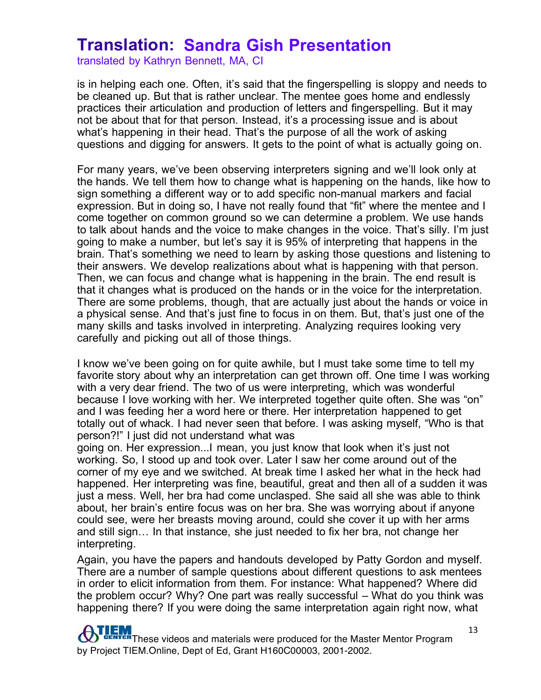translated by Kathryn Bennett, MA, CI

is in helping each one. Often, it's said that the fingerspelling is sloppy and needs to be cleaned up. But that is rather unclear. The mentee goes home and endlessly practices their articulation and production of letters and fingerspelling. But it may not be about that for that person. Instead, it's a processing issue and is about what's happening in their head. That's the purpose of all the work of asking questions and digging for answers. It gets to the point of what is actually going on.

For many years, we've been observing interpreters signing and we'll look only at the hands. We tell them how to change what is happening on the hands, like how to sign something a different way or to add specific non-manual markers and facial expression. But in doing so, I have not really found that "fit" where the mentee and I come together on common ground so we can determine a problem. We use hands to talk about hands and the voice to make changes in the voice. That's silly. I'm just going to make a number, but let's say it is 95% of interpreting that happens in the brain. That's something we need to learn by asking those questions and listening to their answers. We develop realizations about what is happening with that person. Then, we can focus and change what is happening in the brain. The end result is that it changes what is produced on the hands or in the voice for the interpretation. There are some problems, though, that are actually just about the hands or voice in a physical sense. And that's just fine to focus in on them. But, that's just one of the many skills and tasks involved in interpreting. Analyzing requires looking very carefully and picking out all of those things.

I know we've been going on for quite awhile, but I must take some time to tell my favorite story about why an interpretation can get thrown off. One time I was working with a very dear friend. The two of us were interpreting, which was wonderful because I love working with her. We interpreted together quite often. She was "on" and I was feeding her a word here or there. Her interpretation happened to get totally out of whack. I had never seen that before. I was asking myself, "Who is that person?!" I just did not understand what was

going on. Her expression...I mean, you just know that look when it's just not working. So, I stood up and took over. Later I saw her come around out of the corner of my eye and we switched. At break time I asked her what in the heck had happened. Her interpreting was fine, beautiful, great and then all of a sudden it was just a mess. Well, her bra had come unclasped. She said all she was able to think about, her brain's entire focus was on her bra. She was worrying about if anyone could see, were her breasts moving around, could she cover it up with her arms and still sign… In that instance, she just needed to fix her bra, not change her interpreting.

Again, you have the papers and handouts developed by Patty Gordon and myself. There are a number of sample questions about different questions to ask mentees in order to elicit information from them. For instance: What happened? Where did the problem occur? Why? One part was really successful – What do you think was happening there? If you were doing the same interpretation again right now, what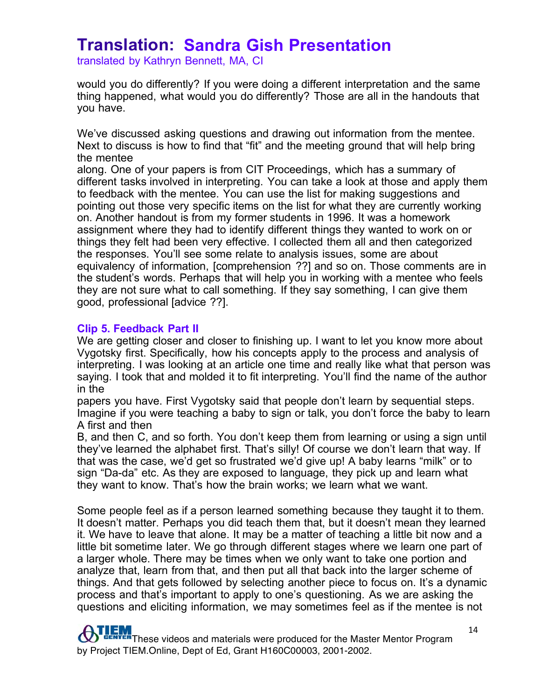translated by Kathryn Bennett, MA, CI

would you do differently? If you were doing a different interpretation and the same thing happened, what would you do differently? Those are all in the handouts that you have.

We've discussed asking questions and drawing out information from the mentee. Next to discuss is how to find that "fit" and the meeting ground that will help bring the mentee

along. One of your papers is from CIT Proceedings, which has a summary of different tasks involved in interpreting. You can take a look at those and apply them to feedback with the mentee. You can use the list for making suggestions and pointing out those very specific items on the list for what they are currently working on. Another handout is from my former students in 1996. It was a homework assignment where they had to identify different things they wanted to work on or things they felt had been very effective. I collected them all and then categorized the responses. You'll see some relate to analysis issues, some are about equivalency of information, [comprehension ??] and so on. Those comments are in the student's words. Perhaps that will help you in working with a mentee who feels they are not sure what to call something. If they say something, I can give them good, professional [advice ??].

#### **Clip 5. Feedback Part II**

We are getting closer and closer to finishing up. I want to let you know more about Vygotsky first. Specifically, how his concepts apply to the process and analysis of interpreting. I was looking at an article one time and really like what that person was saying. I took that and molded it to fit interpreting. You'll find the name of the author in the

papers you have. First Vygotsky said that people don't learn by sequential steps. Imagine if you were teaching a baby to sign or talk, you don't force the baby to learn A first and then

B, and then C, and so forth. You don't keep them from learning or using a sign until they've learned the alphabet first. That's silly! Of course we don't learn that way. If that was the case, we'd get so frustrated we'd give up! A baby learns "milk" or to sign "Da-da" etc. As they are exposed to language, they pick up and learn what they want to know. That's how the brain works; we learn what we want.

Some people feel as if a person learned something because they taught it to them. It doesn't matter. Perhaps you did teach them that, but it doesn't mean they learned it. We have to leave that alone. It may be a matter of teaching a little bit now and a little bit sometime later. We go through different stages where we learn one part of a larger whole. There may be times when we only want to take one portion and analyze that, learn from that, and then put all that back into the larger scheme of things. And that gets followed by selecting another piece to focus on. It's a dynamic process and that's important to apply to one's questioning. As we are asking the questions and eliciting information, we may sometimes feel as if the mentee is not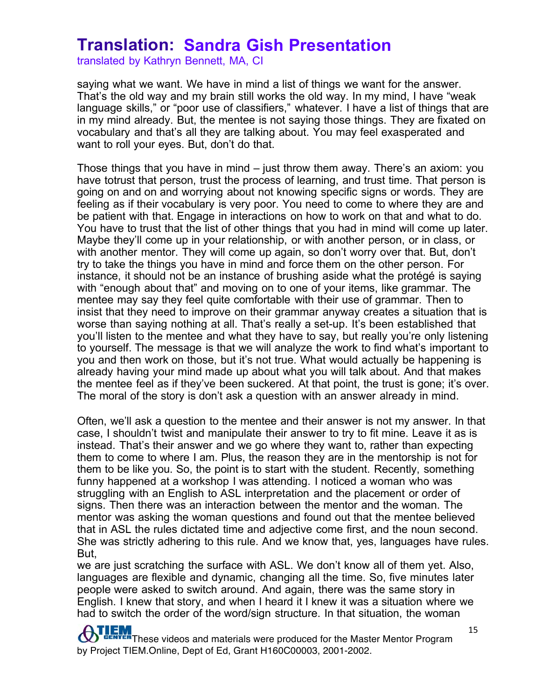translated by Kathryn Bennett, MA, CI

saying what we want. We have in mind a list of things we want for the answer. That's the old way and my brain still works the old way. In my mind, I have "weak language skills," or "poor use of classifiers," whatever. I have a list of things that are in my mind already. But, the mentee is not saying those things. They are fixated on vocabulary and that's all they are talking about. You may feel exasperated and want to roll your eyes. But, don't do that.

Those things that you have in mind – just throw them away. There's an axiom: you have totrust that person, trust the process of learning, and trust time. That person is going on and on and worrying about not knowing specific signs or words. They are feeling as if their vocabulary is very poor. You need to come to where they are and be patient with that. Engage in interactions on how to work on that and what to do. You have to trust that the list of other things that you had in mind will come up later. Maybe they'll come up in your relationship, or with another person, or in class, or with another mentor. They will come up again, so don't worry over that. But, don't try to take the things you have in mind and force them on the other person. For instance, it should not be an instance of brushing aside what the protégé is saying with "enough about that" and moving on to one of your items, like grammar. The mentee may say they feel quite comfortable with their use of grammar. Then to insist that they need to improve on their grammar anyway creates a situation that is worse than saying nothing at all. That's really a set-up. It's been established that you'll listen to the mentee and what they have to say, but really you're only listening to yourself. The message is that we will analyze the work to find what's important to you and then work on those, but it's not true. What would actually be happening is already having your mind made up about what you will talk about. And that makes the mentee feel as if they've been suckered. At that point, the trust is gone; it's over. The moral of the story is don't ask a question with an answer already in mind.

Often, we'll ask a question to the mentee and their answer is not my answer. In that case, I shouldn't twist and manipulate their answer to try to fit mine. Leave it as is instead. That's their answer and we go where they want to, rather than expecting them to come to where I am. Plus, the reason they are in the mentorship is not for them to be like you. So, the point is to start with the student. Recently, something funny happened at a workshop I was attending. I noticed a woman who was struggling with an English to ASL interpretation and the placement or order of signs. Then there was an interaction between the mentor and the woman. The mentor was asking the woman questions and found out that the mentee believed that in ASL the rules dictated time and adjective come first, and the noun second. She was strictly adhering to this rule. And we know that, yes, languages have rules. But,

we are just scratching the surface with ASL. We don't know all of them yet. Also, languages are flexible and dynamic, changing all the time. So, five minutes later people were asked to switch around. And again, there was the same story in English. I knew that story, and when I heard it I knew it was a situation where we had to switch the order of the word/sign structure. In that situation, the woman

**ATLEM** These videos and materials were produced for the Master Mentor Program by Project TIEM.Online, Dept of Ed, Grant H160C00003, 2001-2002.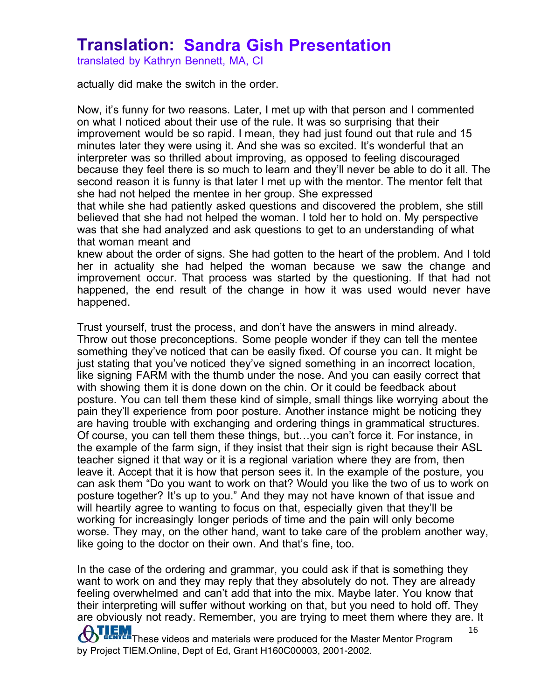translated by Kathryn Bennett, MA, CI

actually did make the switch in the order.

Now, it's funny for two reasons. Later, I met up with that person and I commented on what I noticed about their use of the rule. It was so surprising that their improvement would be so rapid. I mean, they had just found out that rule and 15 minutes later they were using it. And she was so excited. It's wonderful that an interpreter was so thrilled about improving, as opposed to feeling discouraged because they feel there is so much to learn and they'll never be able to do it all. The second reason it is funny is that later I met up with the mentor. The mentor felt that she had not helped the mentee in her group. She expressed

that while she had patiently asked questions and discovered the problem, she still believed that she had not helped the woman. I told her to hold on. My perspective was that she had analyzed and ask questions to get to an understanding of what that woman meant and

knew about the order of signs. She had gotten to the heart of the problem. And I told her in actuality she had helped the woman because we saw the change and improvement occur. That process was started by the questioning. If that had not happened, the end result of the change in how it was used would never have happened.

Trust yourself, trust the process, and don't have the answers in mind already. Throw out those preconceptions. Some people wonder if they can tell the mentee something they've noticed that can be easily fixed. Of course you can. It might be just stating that you've noticed they've signed something in an incorrect location, like signing FARM with the thumb under the nose. And you can easily correct that with showing them it is done down on the chin. Or it could be feedback about posture. You can tell them these kind of simple, small things like worrying about the pain they'll experience from poor posture. Another instance might be noticing they are having trouble with exchanging and ordering things in grammatical structures. Of course, you can tell them these things, but…you can't force it. For instance, in the example of the farm sign, if they insist that their sign is right because their ASL teacher signed it that way or it is a regional variation where they are from, then leave it. Accept that it is how that person sees it. In the example of the posture, you can ask them "Do you want to work on that? Would you like the two of us to work on posture together? It's up to you." And they may not have known of that issue and will heartily agree to wanting to focus on that, especially given that they'll be working for increasingly longer periods of time and the pain will only become worse. They may, on the other hand, want to take care of the problem another way, like going to the doctor on their own. And that's fine, too.

**ATLEM** These videos and materials were produced for the Master Mentor Program by Project TIEM.Online, Dept of Ed, Grant H160C00003, 2001-2002. 16 In the case of the ordering and grammar, you could ask if that is something they want to work on and they may reply that they absolutely do not. They are already feeling overwhelmed and can't add that into the mix. Maybe later. You know that their interpreting will suffer without working on that, but you need to hold off. They are obviously not ready. Remember, you are trying to meet them where they are. It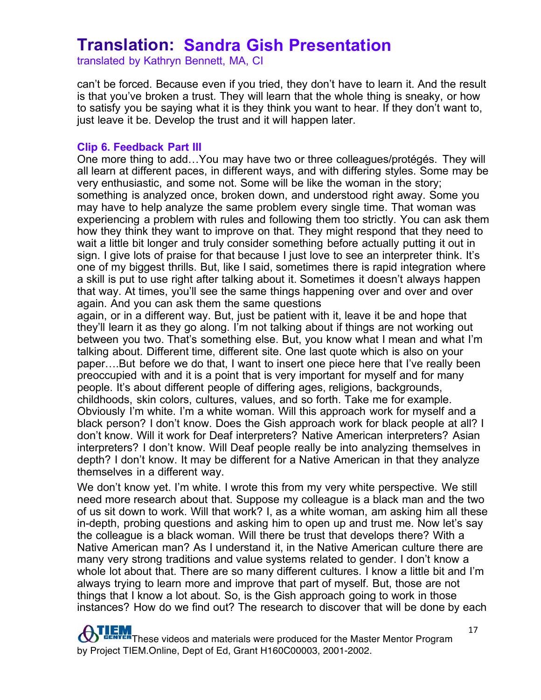translated by Kathryn Bennett, MA, CI

can't be forced. Because even if you tried, they don't have to learn it. And the result is that you've broken a trust. They will learn that the whole thing is sneaky, or how to satisfy you be saying what it is they think you want to hear. If they don't want to, just leave it be. Develop the trust and it will happen later.

#### **Clip 6. Feedback Part III**

One more thing to add…You may have two or three colleagues/protégés. They will all learn at different paces, in different ways, and with differing styles. Some may be very enthusiastic, and some not. Some will be like the woman in the story; something is analyzed once, broken down, and understood right away. Some you may have to help analyze the same problem every single time. That woman was experiencing a problem with rules and following them too strictly. You can ask them how they think they want to improve on that. They might respond that they need to wait a little bit longer and truly consider something before actually putting it out in sign. I give lots of praise for that because I just love to see an interpreter think. It's one of my biggest thrills. But, like I said, sometimes there is rapid integration where a skill is put to use right after talking about it. Sometimes it doesn't always happen that way. At times, you'll see the same things happening over and over and over again. And you can ask them the same questions

again, or in a different way. But, just be patient with it, leave it be and hope that they'll learn it as they go along. I'm not talking about if things are not working out between you two. That's something else. But, you know what I mean and what I'm talking about. Different time, different site. One last quote which is also on your paper….But before we do that, I want to insert one piece here that I've really been preoccupied with and it is a point that is very important for myself and for many people. It's about different people of differing ages, religions, backgrounds, childhoods, skin colors, cultures, values, and so forth. Take me for example. Obviously I'm white. I'm a white woman. Will this approach work for myself and a black person? I don't know. Does the Gish approach work for black people at all? I don't know. Will it work for Deaf interpreters? Native American interpreters? Asian interpreters? I don't know. Will Deaf people really be into analyzing themselves in depth? I don't know. It may be different for a Native American in that they analyze themselves in a different way.

We don't know yet. I'm white. I wrote this from my very white perspective. We still need more research about that. Suppose my colleague is a black man and the two of us sit down to work. Will that work? I, as a white woman, am asking him all these in-depth, probing questions and asking him to open up and trust me. Now let's say the colleague is a black woman. Will there be trust that develops there? With a Native American man? As I understand it, in the Native American culture there are many very strong traditions and value systems related to gender. I don't know a whole lot about that. There are so many different cultures. I know a little bit and I'm always trying to learn more and improve that part of myself. But, those are not things that I know a lot about. So, is the Gish approach going to work in those instances? How do we find out? The research to discover that will be done by each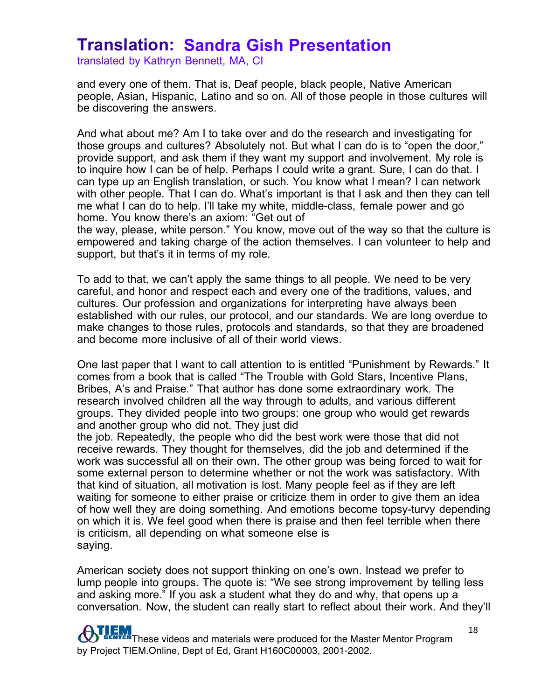translated by Kathryn Bennett, MA, CI

and every one of them. That is, Deaf people, black people, Native American people, Asian, Hispanic, Latino and so on. All of those people in those cultures will be discovering the answers.

And what about me? Am I to take over and do the research and investigating for those groups and cultures? Absolutely not. But what I can do is to "open the door," provide support, and ask them if they want my support and involvement. My role is to inquire how I can be of help. Perhaps I could write a grant. Sure, I can do that. I can type up an English translation, or such. You know what I mean? I can network with other people. That I can do. What's important is that I ask and then they can tell me what I can do to help. I'll take my white, middle-class, female power and go home. You know there's an axiom: "Get out of

the way, please, white person." You know, move out of the way so that the culture is empowered and taking charge of the action themselves. I can volunteer to help and support, but that's it in terms of my role.

To add to that, we can't apply the same things to all people. We need to be very careful, and honor and respect each and every one of the traditions, values, and cultures. Our profession and organizations for interpreting have always been established with our rules, our protocol, and our standards. We are long overdue to make changes to those rules, protocols and standards, so that they are broadened and become more inclusive of all of their world views.

One last paper that I want to call attention to is entitled "Punishment by Rewards." It comes from a book that is called "The Trouble with Gold Stars, Incentive Plans, Bribes, A's and Praise." That author has done some extraordinary work. The research involved children all the way through to adults, and various different groups. They divided people into two groups: one group who would get rewards and another group who did not. They just did

the job. Repeatedly, the people who did the best work were those that did not receive rewards. They thought for themselves, did the job and determined if the work was successful all on their own. The other group was being forced to wait for some external person to determine whether or not the work was satisfactory. With that kind of situation, all motivation is lost. Many people feel as if they are left waiting for someone to either praise or criticize them in order to give them an idea of how well they are doing something. And emotions become topsy-turvy depending on which it is. We feel good when there is praise and then feel terrible when there is criticism, all depending on what someone else is saying.

American society does not support thinking on one's own. Instead we prefer to lump people into groups. The quote is: "We see strong improvement by telling less and asking more." If you ask a student what they do and why, that opens up a conversation. Now, the student can really start to reflect about their work. And they'll

**TEM**<br>These videos and materials were produced for the Master Mentor Program by Project TIEM.Online, Dept of Ed, Grant H160C00003, 2001-2002.